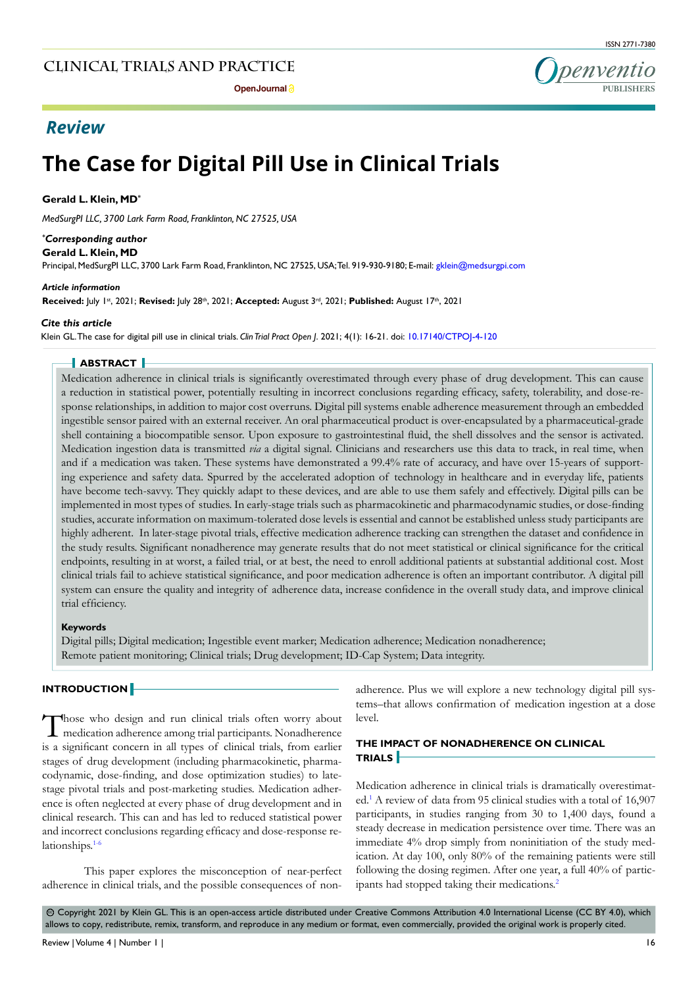# **The Case for Digital Pill Use in Clinical Trials**

#### **Gerald L. Klein, MD\***

*MedSurgPI LLC, 3700 Lark Farm Road, Franklinton, NC 27525, USA*

#### *\* Corresponding author*

**Gerald L. Klein, MD**

Principal, MedSurgPI LLC, 3700 Lark Farm Road, Franklinton, NC 27525, USA; Tel. 919-930-9180; E-mail: gklein@medsurgpi.com

#### *Article information*

**Received:** July 1st, 2021; **Revised:** July 28th, 2021; **Accepted:** August 3rd, 2021; **Published:** August 17th, 2021

#### *Cite this article*

Klein GL. The case for digital pill use in clinical trials. *Clin Trial Pract Open J*. 2021; 4(1): 16-21. doi: [10.17140/CTPOJ-4-120](http://dx.doi.org/10.17140/CTPOJ-4-120)

#### **ABSTRACT**

Medication adherence in clinical trials is significantly overestimated through every phase of drug development. This can cause a reduction in statistical power, potentially resulting in incorrect conclusions regarding efficacy, safety, tolerability, and dose-response relationships, in addition to major cost overruns. Digital pill systems enable adherence measurement through an embedded ingestible sensor paired with an external receiver. An oral pharmaceutical product is over-encapsulated by a pharmaceutical-grade shell containing a biocompatible sensor. Upon exposure to gastrointestinal fluid, the shell dissolves and the sensor is activated. Medication ingestion data is transmitted *via* a digital signal. Clinicians and researchers use this data to track, in real time, when and if a medication was taken. These systems have demonstrated a 99.4% rate of accuracy, and have over 15-years of supporting experience and safety data. Spurred by the accelerated adoption of technology in healthcare and in everyday life, patients have become tech-savvy. They quickly adapt to these devices, and are able to use them safely and effectively. Digital pills can be implemented in most types of studies. In early-stage trials such as pharmacokinetic and pharmacodynamic studies, or dose-finding studies, accurate information on maximum-tolerated dose levels is essential and cannot be established unless study participants are highly adherent. In later-stage pivotal trials, effective medication adherence tracking can strengthen the dataset and confidence in the study results. Significant nonadherence may generate results that do not meet statistical or clinical significance for the critical endpoints, resulting in at worst, a failed trial, or at best, the need to enroll additional patients at substantial additional cost. Most clinical trials fail to achieve statistical significance, and poor medication adherence is often an important contributor. A digital pill system can ensure the quality and integrity of adherence data, increase confidence in the overall study data, and improve clinical trial efficiency.

#### **Keywords**

Digital pills; Digital medication; Ingestible event marker; Medication adherence; Medication nonadherence; Remote patient monitoring; Clinical trials; Drug development; ID-Cap System; Data integrity.

#### **INTRODUCTION**

Those who design and run clinical trials often worry about medication adherence among trial participants. Nonadherence is a significant concern in all types of clinical trials, from earlier stages of drug development (including pharmacokinetic, pharmacodynamic, dose-finding, and dose optimization studies) to latestage pivotal trials and post-marketing studies. Medication adherence is often neglected at every phase of drug development and in clinical research. This can and has led to reduced statistical power and incorrect conclusions regarding efficacy and dose-response relationships[.1-6](#page-4-0)

This paper explores the misconception of near-perfect adherence in clinical trials, and the possible consequences of non-

adherence. Plus we will explore a new technology digital pill systems–that allows confirmation of medication ingestion at a dose level.

#### **THE IMPACT OF NONADHERENCE ON CLINICAL TRIALS**

Medication adherence in clinical trials is dramatically overestimated.[1](#page-4-0) A review of data from 95 clinical studies with a total of 16,907 participants, in studies ranging from 30 to 1,400 days, found a steady decrease in medication persistence over time. There was an immediate 4% drop simply from noninitiation of the study medication. At day 100, only 80% of the remaining patients were still following the dosing regimen. After one year, a full 40% of participants had stopped taking their medications[.2](#page-4-1)

© Copyright 2021 by Klein GL. This is an open-access article distributed under Creative Commons Attribution 4.0 International License (CC BY 4.0), which allows to copy, redistribute, remix, transform, and reproduce in any medium or format, even commercially, provided the original work is properly cited.

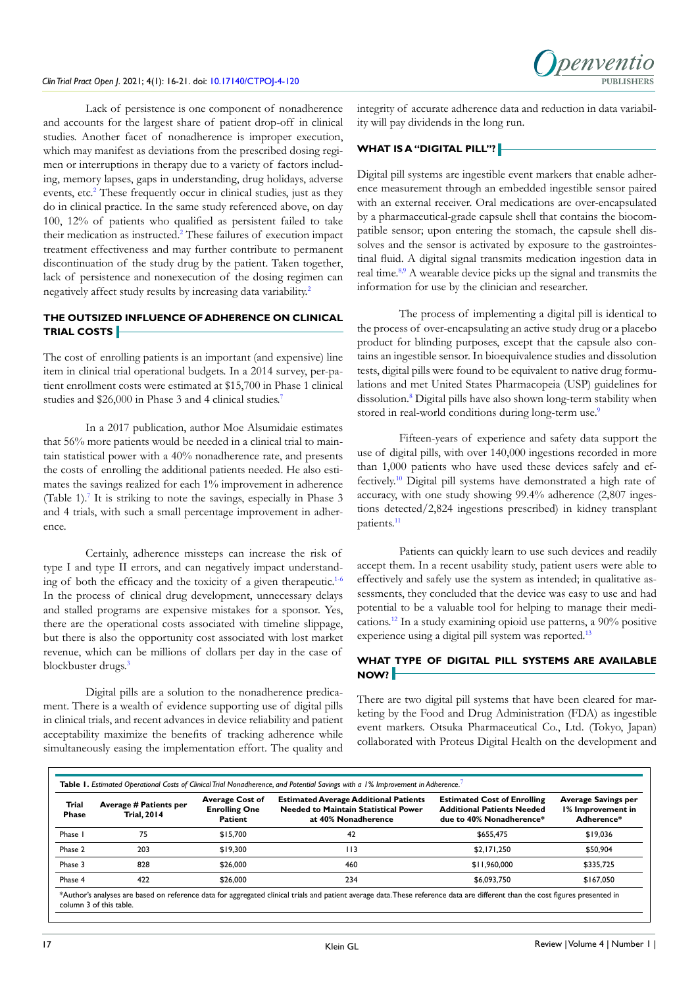

Lack of persistence is one component of nonadherence and accounts for the largest share of patient drop-off in clinical studies. Another facet of nonadherence is improper execution, which may manifest as deviations from the prescribed dosing regimen or interruptions in therapy due to a variety of factors including, memory lapses, gaps in understanding, drug holidays, adverse events, etc.<sup>[2](#page-4-1)</sup> These frequently occur in clinical studies, just as they do in clinical practice. In the same study referenced above, on day 100, 12% of patients who qualified as persistent failed to take their medication as instructed.<sup>2</sup> These failures of execution impact treatment effectiveness and may further contribute to permanent discontinuation of the study drug by the patient. Taken together, lack of persistence and nonexecution of the dosing regimen can negatively affect study results by increasing data variability[.2](#page-4-1)

# **THE OUTSIZED INFLUENCE OF ADHERENCE ON CLINICAL TRIAL COSTS**

The cost of enrolling patients is an important (and expensive) line item in clinical trial operational budgets. In a 2014 survey, per-patient enrollment costs were estimated at \$15,700 in Phase 1 clinical studies and \$26,000 in Phase 3 and 4 clinical studies.<sup>[7](#page-5-0)</sup>

In a 2017 publication, author Moe Alsumidaie estimates that 56% more patients would be needed in a clinical trial to maintain statistical power with a 40% nonadherence rate, and presents the costs of enrolling the additional patients needed. He also estimates the savings realized for each 1% improvement in adherence (Table 1).<sup>7</sup> It is striking to note the savings, especially in Phase 3 and 4 trials, with such a small percentage improvement in adherence.

Certainly, adherence missteps can increase the risk of type I and type II errors, and can negatively impact understand-ing of both the efficacy and the toxicity of a given therapeutic.<sup>[1-6](#page-4-0)</sup> In the process of clinical drug development, unnecessary delays and stalled programs are expensive mistakes for a sponsor. Yes, there are the operational costs associated with timeline slippage, but there is also the opportunity cost associated with lost market revenue, which can be millions of dollars per day in the case of blockbuster drugs.<sup>[3](#page-4-2)</sup>

Digital pills are a solution to the nonadherence predicament. There is a wealth of evidence supporting use of digital pills in clinical trials, and recent advances in device reliability and patient acceptability maximize the benefits of tracking adherence while simultaneously easing the implementation effort. The quality and

integrity of accurate adherence data and reduction in data variability will pay dividends in the long run.

# **WHAT IS A "DIGITAL PILL"?**

Digital pill systems are ingestible event markers that enable adherence measurement through an embedded ingestible sensor paired with an external receiver. Oral medications are over-encapsulated by a pharmaceutical-grade capsule shell that contains the biocompatible sensor; upon entering the stomach, the capsule shell dissolves and the sensor is activated by exposure to the gastrointestinal fluid. A digital signal transmits medication ingestion data in real time.[8,9](#page-5-1) A wearable device picks up the signal and transmits the information for use by the clinician and researcher.

The process of implementing a digital pill is identical to the process of over-encapsulating an active study drug or a placebo product for blinding purposes, except that the capsule also contains an ingestible sensor. In bioequivalence studies and dissolution tests, digital pills were found to be equivalent to native drug formulations and met United States Pharmacopeia (USP) guidelines for dissolution.[8](#page-5-1) Digital pills have also shown long-term stability when stored in real-world conditions during long-term use.<sup>9</sup>

Fifteen-years of experience and safety data support the use of digital pills, with over 140,000 ingestions recorded in more than 1,000 patients who have used these devices safely and effectively.[10](#page-5-3) Digital pill systems have demonstrated a high rate of accuracy, with one study showing 99.4% adherence (2,807 ingestions detected/2,824 ingestions prescribed) in kidney transplant patients.[11](#page-5-4)

Patients can quickly learn to use such devices and readily accept them. In a recent usability study, patient users were able to effectively and safely use the system as intended; in qualitative assessments, they concluded that the device was easy to use and had potential to be a valuable tool for helping to manage their medications.[12](#page-5-5) In a study examining opioid use patterns, a 90% positive experience using a digital pill system was reported.<sup>[13](#page-5-6)</sup>

### **WHAT TYPE OF DIGITAL PILL SYSTEMS ARE AVAILABLE NOW?**

There are two digital pill systems that have been cleared for marketing by the Food and Drug Administration (FDA) as ingestible event markers. Otsuka Pharmaceutical Co., Ltd. (Tokyo, Japan) collaborated with Proteus Digital Health on the development and

| Trial<br><b>Phase</b> | Average # Patients per<br><b>Trial, 2014</b> | <b>Average Cost of</b><br><b>Enrolling One</b><br><b>Patient</b> | <b>Estimated Average Additional Patients</b><br><b>Needed to Maintain Statistical Power</b><br>at 40% Nonadherence | <b>Estimated Cost of Enrolling</b><br><b>Additional Patients Needed</b><br>due to 40% Nonadherence* | <b>Average Savings per</b><br>1% Improvement in<br>Adherence* |
|-----------------------|----------------------------------------------|------------------------------------------------------------------|--------------------------------------------------------------------------------------------------------------------|-----------------------------------------------------------------------------------------------------|---------------------------------------------------------------|
| Phase I               | 75                                           | \$15,700                                                         | 42                                                                                                                 | \$655,475                                                                                           | \$19,036                                                      |
| Phase 2               | 203                                          | \$19,300                                                         | 113                                                                                                                | \$2.171.250                                                                                         | \$50,904                                                      |
| Phase 3               | 828                                          | \$26,000                                                         | 460                                                                                                                | \$11,960,000                                                                                        | \$335.725                                                     |
| Phase 4               | 422                                          | \$26,000                                                         | 234                                                                                                                | \$6,093,750                                                                                         | \$167,050                                                     |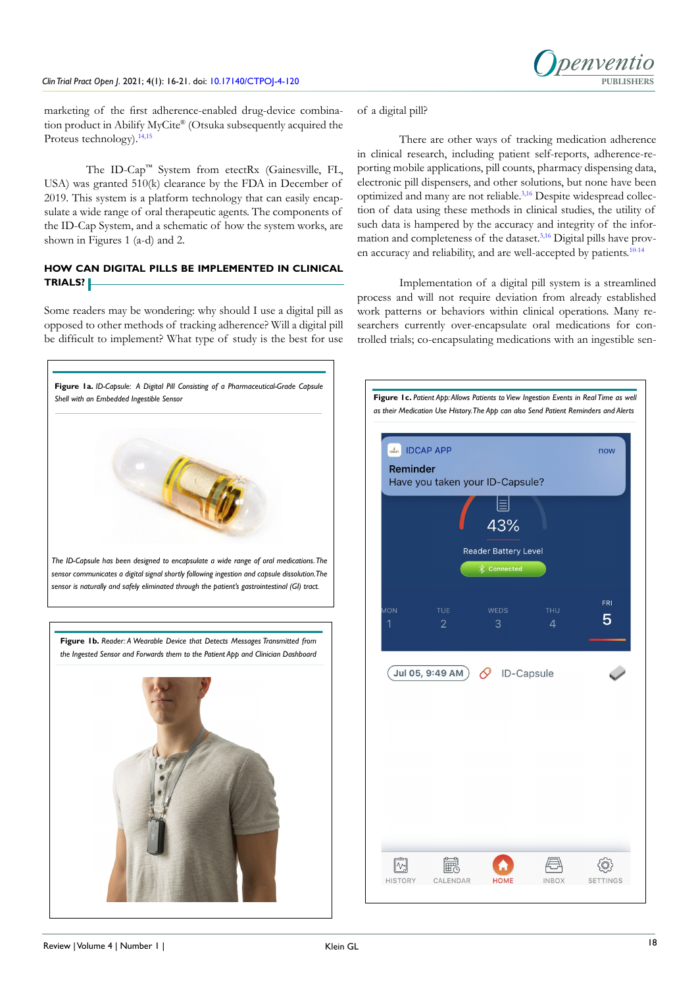*Denventio* 

marketing of the first adherence-enabled drug-device combination product in Abilify MyCite® (Otsuka subsequently acquired the Proteus technology).[14,15](#page-5-7)

The ID-Cap™ System from etectRx (Gainesville, FL, USA) was granted 510(k) clearance by the FDA in December of 2019. This system is a platform technology that can easily encapsulate a wide range of oral therapeutic agents. The components of the ID-Cap System, and a schematic of how the system works, are shown in Figures 1 (a-d) and 2.

# **HOW CAN DIGITAL PILLS BE IMPLEMENTED IN CLINICAL TRIALS?**

Some readers may be wondering: why should I use a digital pill as opposed to other methods of tracking adherence? Will a digital pill be difficult to implement? What type of study is the best for use

of a digital pill?

There are other ways of tracking medication adherence in clinical research, including patient self-reports, adherence-reporting mobile applications, pill counts, pharmacy dispensing data, electronic pill dispensers, and other solutions, but none have been optimized and many are not reliable.[3,](#page-4-2)[16](#page-5-8) Despite widespread collection of data using these methods in clinical studies, the utility of such data is hampered by the accuracy and integrity of the infor-mation and completeness of the dataset.<sup>[3,](#page-4-2)[16](#page-5-8)</sup> Digital pills have proven accuracy and reliability, and are well-accepted by patients.[10-14](#page-5-3)

Implementation of a digital pill system is a streamlined process and will not require deviation from already established work patterns or behaviors within clinical operations. Many researchers currently over-encapsulate oral medications for controlled trials; co-encapsulating medications with an ingestible sen-

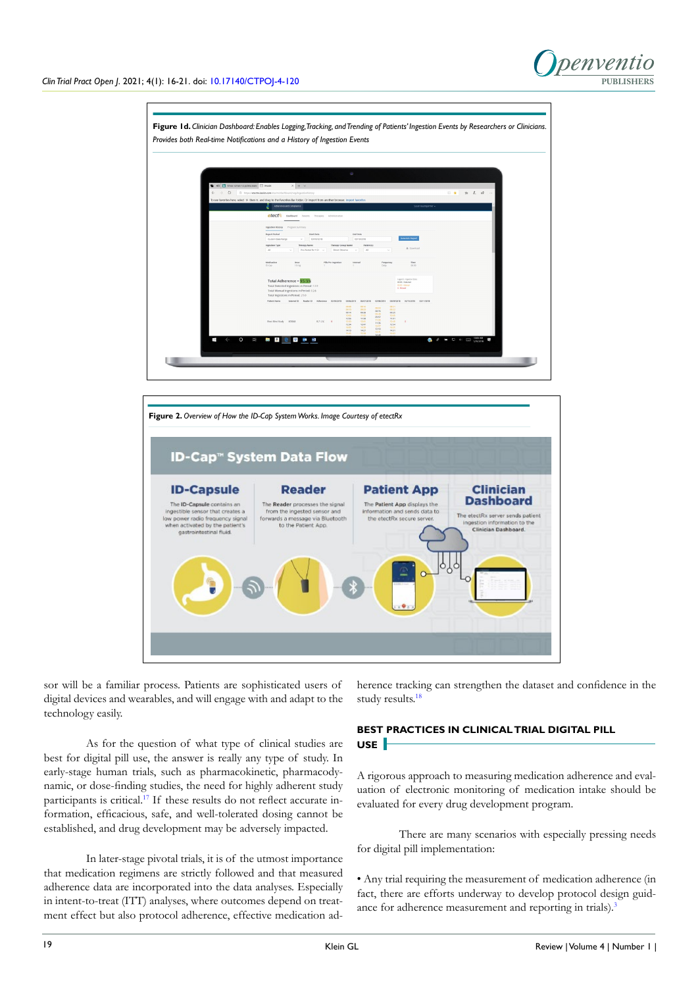





sor will be a familiar process. Patients are sophisticated users of digital devices and wearables, and will engage with and adapt to the technology easily.

As for the question of what type of clinical studies are best for digital pill use, the answer is really any type of study. In early-stage human trials, such as pharmacokinetic, pharmacodynamic, or dose-finding studies, the need for highly adherent study participants is critical.[17](#page-5-9) If these results do not reflect accurate information, efficacious, safe, and well-tolerated dosing cannot be established, and drug development may be adversely impacted.

In later-stage pivotal trials, it is of the utmost importance that medication regimens are strictly followed and that measured adherence data are incorporated into the data analyses. Especially in intent-to-treat (ITT) analyses, where outcomes depend on treatment effect but also protocol adherence, effective medication adherence tracking can strengthen the dataset and confidence in the study results.[18](#page-5-10)

# **BEST PRACTICES IN CLINICAL TRIAL DIGITAL PILL USE**

A rigorous approach to measuring medication adherence and evaluation of electronic monitoring of medication intake should be evaluated for every drug development program.

There are many scenarios with especially pressing needs for digital pill implementation:

• Any trial requiring the measurement of medication adherence (in fact, there are efforts underway to develop protocol design guid-ance for adherence measurement and reporting in trials).<sup>[3](#page-4-2)</sup>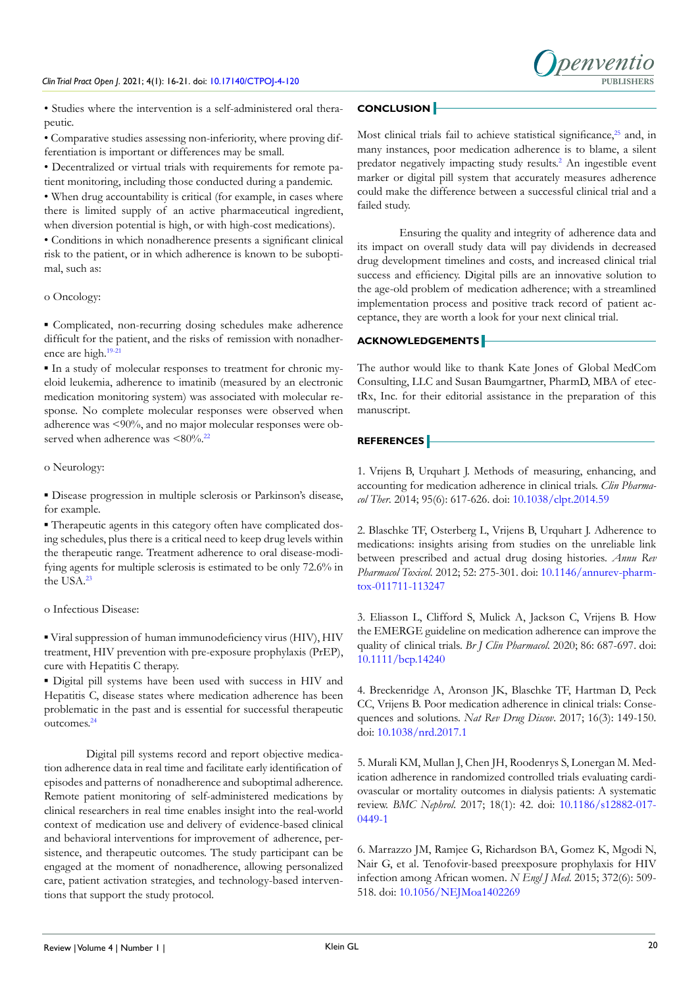

• Studies where the intervention is a self-administered oral therapeutic.

• Comparative studies assessing non-inferiority, where proving differentiation is important or differences may be small.

• Decentralized or virtual trials with requirements for remote patient monitoring, including those conducted during a pandemic.

• When drug accountability is critical (for example, in cases where there is limited supply of an active pharmaceutical ingredient, when diversion potential is high, or with high-cost medications).

• Conditions in which nonadherence presents a significant clinical risk to the patient, or in which adherence is known to be suboptimal, such as:

#### o Oncology:

▪ Complicated, non-recurring dosing schedules make adherence difficult for the patient, and the risks of remission with nonadher-ence are high.<sup>[19-21](#page-5-11)</sup>

▪ In a study of molecular responses to treatment for chronic myeloid leukemia, adherence to imatinib (measured by an electronic medication monitoring system) was associated with molecular response. No complete molecular responses were observed when adherence was <90%, and no major molecular responses were observed when adherence was  $\leq 80\%$ .<sup>[22](#page-5-12)</sup>

## o Neurology:

▪ Disease progression in multiple sclerosis or Parkinson's disease, for example.

▪ Therapeutic agents in this category often have complicated dosing schedules, plus there is a critical need to keep drug levels within the therapeutic range. Treatment adherence to oral disease-modifying agents for multiple sclerosis is estimated to be only 72.6% in the USA.[23](#page-5-13)

## o Infectious Disease:

▪ Viral suppression of human immunodeficiency virus (HIV), HIV treatment, HIV prevention with pre-exposure prophylaxis (PrEP), cure with Hepatitis C therapy.

▪ Digital pill systems have been used with success in HIV and Hepatitis C, disease states where medication adherence has been problematic in the past and is essential for successful therapeutic outcomes.[24](#page-5-14)

Digital pill systems record and report objective medication adherence data in real time and facilitate early identification of episodes and patterns of nonadherence and suboptimal adherence. Remote patient monitoring of self-administered medications by clinical researchers in real time enables insight into the real-world context of medication use and delivery of evidence-based clinical and behavioral interventions for improvement of adherence, persistence, and therapeutic outcomes. The study participant can be engaged at the moment of nonadherence, allowing personalized care, patient activation strategies, and technology-based interventions that support the study protocol.

# **CONCLUSION**

Most clinical trials fail to achieve statistical significance,<sup>[25](#page-5-15)</sup> and, in many instances, poor medication adherence is to blame, a silent predator negatively impacting study results.<sup>[2](#page-4-1)</sup> An ingestible event marker or digital pill system that accurately measures adherence could make the difference between a successful clinical trial and a failed study.

Ensuring the quality and integrity of adherence data and its impact on overall study data will pay dividends in decreased drug development timelines and costs, and increased clinical trial success and efficiency. Digital pills are an innovative solution to the age-old problem of medication adherence; with a streamlined implementation process and positive track record of patient acceptance, they are worth a look for your next clinical trial.

## **ACKNOWLEDGEMENTS**

The author would like to thank Kate Jones of Global MedCom Consulting, LLC and Susan Baumgartner, PharmD, MBA of etectRx, Inc. for their editorial assistance in the preparation of this manuscript.

### **REFERENCES**

<span id="page-4-0"></span>1. Vrijens B, Urquhart J. Methods of measuring, enhancing, and accounting for medication adherence in clinical trials. *Clin Pharmacol Ther*. 2014; 95(6): 617-626. doi: [10.1038/clpt.2014.59](http://doi.org/10.1038/clpt.2014.59)

<span id="page-4-1"></span>2. Blaschke TF, Osterberg L, Vrijens B, Urquhart J. Adherence to medications: insights arising from studies on the unreliable link between prescribed and actual drug dosing histories. *Annu Rev Pharmacol Toxicol.* 2012; 52: 275-301. doi: [10.1146/annurev-pharm](http://doi.org/10.1146/annurev-pharmtox-011711-113247)[tox-011711-113247](http://doi.org/10.1146/annurev-pharmtox-011711-113247)

<span id="page-4-2"></span>3. Eliasson L, Clifford S, Mulick A, Jackson C, Vrijens B. How the EMERGE guideline on medication adherence can improve the quality of clinical trials. *Br J Clin Pharmacol*. 2020; 86: 687-697. doi: [10.1111/bcp.14240](http://doi.org/10.1111/bcp.14240)

4. Breckenridge A, Aronson JK, Blaschke TF, Hartman D, Peck CC, Vrijens B. Poor medication adherence in clinical trials: Consequences and solutions. *Nat Rev Drug Discov*. 2017; 16(3): 149-150. doi: [10.1038/nrd.2017.1](http://doi.org/10.1038/nrd.2017.1)

5. Murali KM, Mullan J, Chen JH, Roodenrys S, Lonergan M. Medication adherence in randomized controlled trials evaluating cardiovascular or mortality outcomes in dialysis patients: A systematic review. *BMC Nephrol*. 2017; 18(1): 42. doi: [10.1186/s12882-017-](http://doi.org/10.1186/s12882-017-0449-1) [0449-1](http://doi.org/10.1186/s12882-017-0449-1)

6. Marrazzo JM, Ramjee G, Richardson BA, Gomez K, Mgodi N, Nair G, et al. Tenofovir-based preexposure prophylaxis for HIV infection among African women. *N Engl J Med*. 2015; 372(6): 509- 518. doi: [10.1056/NEJMoa1402269](http://doi.org/10.1056/NEJMoa1402269)